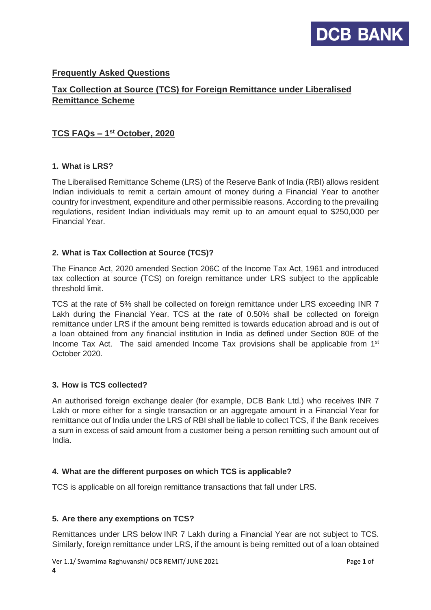

# **Frequently Asked Questions**

# **Tax Collection at Source (TCS) for Foreign Remittance under Liberalised Remittance Scheme**

## **TCS FAQs – 1 st October, 2020**

#### **1. What is LRS?**

The Liberalised Remittance Scheme (LRS) of the Reserve Bank of India (RBI) allows resident Indian individuals to remit a certain amount of money during a Financial Year to another country for investment, expenditure and other permissible reasons. According to the prevailing regulations, resident Indian individuals may remit up to an amount equal to \$250,000 per Financial Year.

#### **2. What is Tax Collection at Source (TCS)?**

The Finance Act, 2020 amended Section 206C of the Income Tax Act, 1961 and introduced tax collection at source (TCS) on foreign remittance under LRS subject to the applicable threshold limit.

TCS at the rate of 5% shall be collected on foreign remittance under LRS exceeding INR 7 Lakh during the Financial Year. TCS at the rate of 0.50% shall be collected on foreign remittance under LRS if the amount being remitted is towards education abroad and is out of a loan obtained from any financial institution in India as defined under Section 80E of the Income Tax Act. The said amended Income Tax provisions shall be applicable from  $1<sup>st</sup>$ October 2020.

## **3. How is TCS collected?**

An authorised foreign exchange dealer (for example, DCB Bank Ltd.) who receives INR 7 Lakh or more either for a single transaction or an aggregate amount in a Financial Year for remittance out of India under the LRS of RBI shall be liable to collect TCS, if the Bank receives a sum in excess of said amount from a customer being a person remitting such amount out of India.

#### **4. What are the different purposes on which TCS is applicable?**

TCS is applicable on all foreign remittance transactions that fall under LRS.

#### **5. Are there any exemptions on TCS?**

**4**

Remittances under LRS below INR 7 Lakh during a Financial Year are not subject to TCS. Similarly, foreign remittance under LRS, if the amount is being remitted out of a loan obtained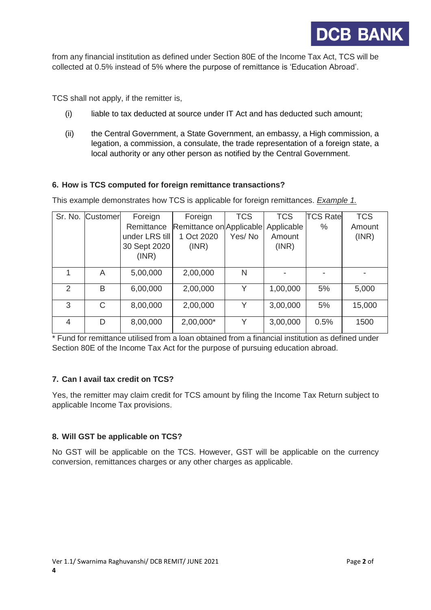

from any financial institution as defined under Section 80E of the Income Tax Act, TCS will be collected at 0.5% instead of 5% where the purpose of remittance is 'Education Abroad'.

TCS shall not apply, if the remitter is,

- (i) liable to tax deducted at source under IT Act and has deducted such amount;
- (ii) the Central Government, a State Government, an embassy, a High commission, a legation, a commission, a consulate, the trade representation of a foreign state, a local authority or any other person as notified by the Central Government.

#### **6. How is TCS computed for foreign remittance transactions?**

This example demonstrates how TCS is applicable for foreign remittances. *Example 1.*

|               | Sr. No. Customer | Foreign        | Foreign                  | <b>TCS</b> | <b>TCS</b> | <b>TCS Rate</b> | <b>TCS</b> |
|---------------|------------------|----------------|--------------------------|------------|------------|-----------------|------------|
|               |                  | Remittance     | Remittance on Applicable |            | Applicable | $\%$            | Amount     |
|               |                  | under LRS till | 1 Oct 2020               | Yes/No     | Amount     |                 | (INR)      |
|               |                  | 30 Sept 2020   | (INR)                    |            | (INR)      |                 |            |
|               |                  | (INR)          |                          |            |            |                 |            |
|               |                  |                |                          |            |            |                 |            |
|               | A                | 5,00,000       | 2,00,000                 | N          |            |                 |            |
| $\mathcal{P}$ | B                | 6,00,000       | 2,00,000                 | Y          | 1,00,000   | 5%              | 5,000      |
|               |                  |                |                          |            |            |                 |            |
| 3             | C                | 8,00,000       | 2,00,000                 | Υ          | 3,00,000   | 5%              | 15,000     |
|               |                  |                |                          |            |            |                 |            |
| 4             | D                | 8,00,000       | 2,00,000*                | Υ          | 3,00,000   | 0.5%            | 1500       |
|               |                  |                |                          |            |            |                 |            |

\* Fund for remittance utilised from a loan obtained from a financial institution as defined under Section 80E of the Income Tax Act for the purpose of pursuing education abroad.

## **7. Can I avail tax credit on TCS?**

Yes, the remitter may claim credit for TCS amount by filing the Income Tax Return subject to applicable Income Tax provisions.

#### **8. Will GST be applicable on TCS?**

No GST will be applicable on the TCS. However, GST will be applicable on the currency conversion, remittances charges or any other charges as applicable.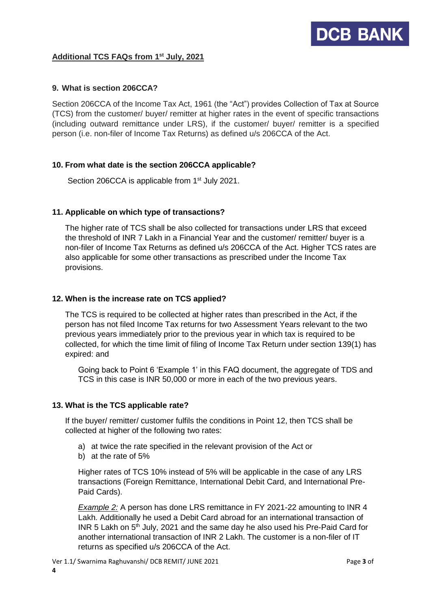## **Additional TCS FAQs from 1 st July, 2021**

## **9. What is section 206CCA?**

Section 206CCA of the Income Tax Act, 1961 (the "Act") provides Collection of Tax at Source (TCS) from the customer/ buyer/ remitter at higher rates in the event of specific transactions (including outward remittance under LRS), if the customer/ buyer/ remitter is a specified person (i.e. non-filer of Income Tax Returns) as defined u/s 206CCA of the Act.

## **10. From what date is the section 206CCA applicable?**

Section 206CCA is applicable from 1<sup>st</sup> July 2021.

## **11. Applicable on which type of transactions?**

The higher rate of TCS shall be also collected for transactions under LRS that exceed the threshold of INR 7 Lakh in a Financial Year and the customer/ remitter/ buyer is a non-filer of Income Tax Returns as defined u/s 206CCA of the Act. Higher TCS rates are also applicable for some other transactions as prescribed under the Income Tax provisions.

## **12. When is the increase rate on TCS applied?**

The TCS is required to be collected at higher rates than prescribed in the Act, if the person has not filed Income Tax returns for two Assessment Years relevant to the two previous years immediately prior to the previous year in which tax is required to be collected, for which the time limit of filing of Income Tax Return under section 139(1) has expired: and

Going back to Point 6 'Example 1' in this FAQ document, the aggregate of TDS and TCS in this case is INR 50,000 or more in each of the two previous years.

## **13. What is the TCS applicable rate?**

If the buyer/ remitter/ customer fulfils the conditions in Point 12, then TCS shall be collected at higher of the following two rates:

- a) at twice the rate specified in the relevant provision of the Act or
- b) at the rate of 5%

Higher rates of TCS 10% instead of 5% will be applicable in the case of any LRS transactions (Foreign Remittance, International Debit Card, and International Pre-Paid Cards).

*Example 2:* A person has done LRS remittance in FY 2021-22 amounting to INR 4 Lakh. Additionally he used a Debit Card abroad for an international transaction of INR 5 Lakh on 5<sup>th</sup> July, 2021 and the same day he also used his Pre-Paid Card for another international transaction of INR 2 Lakh. The customer is a non-filer of IT returns as specified u/s 206CCA of the Act.